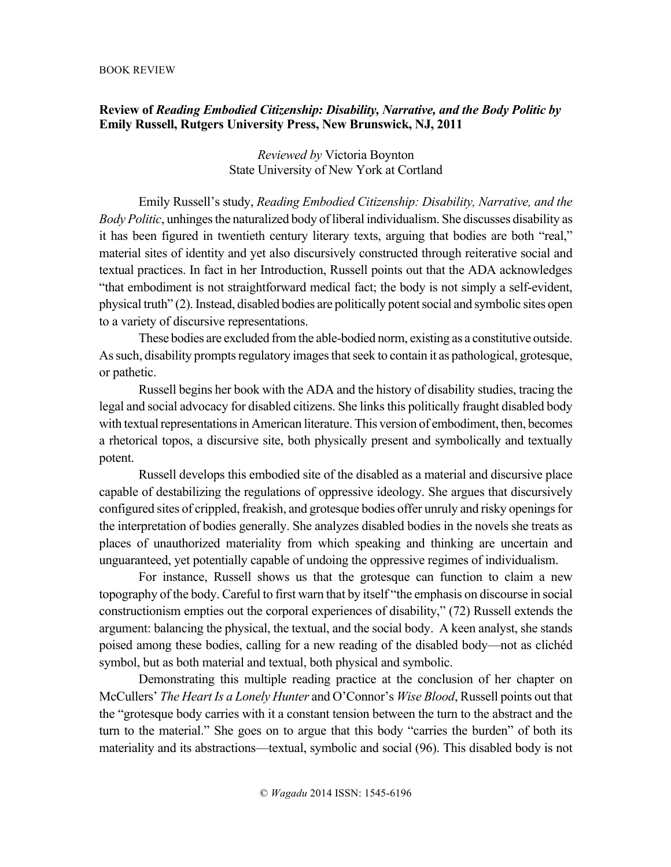## **Review of** *Reading Embodied Citizenship: Disability, Narrative, and the Body Politic by*  **Emily Russell, Rutgers University Press, New Brunswick, NJ, 2011**

## *Reviewed by* Victoria Boynton State University of New York at Cortland

Emily Russell's study, *Reading Embodied Citizenship: Disability, Narrative, and the Body Politic*, unhinges the naturalized body of liberal individualism. She discusses disability as it has been figured in twentieth century literary texts, arguing that bodies are both "real," material sites of identity and yet also discursively constructed through reiterative social and textual practices. In fact in her Introduction, Russell points out that the ADA acknowledges "that embodiment is not straightforward medical fact; the body is not simply a self-evident, physical truth" (2). Instead, disabled bodies are politically potent social and symbolic sites open to a variety of discursive representations.

These bodies are excluded from the able-bodied norm, existing as a constitutive outside. As such, disability prompts regulatory images that seek to contain it as pathological, grotesque, or pathetic.

Russell begins her book with the ADA and the history of disability studies, tracing the legal and social advocacy for disabled citizens. She links this politically fraught disabled body with textual representations in American literature. This version of embodiment, then, becomes a rhetorical topos, a discursive site, both physically present and symbolically and textually potent.

Russell develops this embodied site of the disabled as a material and discursive place capable of destabilizing the regulations of oppressive ideology. She argues that discursively configured sites of crippled, freakish, and grotesque bodies offer unruly and risky openings for the interpretation of bodies generally. She analyzes disabled bodies in the novels she treats as places of unauthorized materiality from which speaking and thinking are uncertain and unguaranteed, yet potentially capable of undoing the oppressive regimes of individualism.

For instance, Russell shows us that the grotesque can function to claim a new topography of the body. Careful to first warn that by itself "the emphasis on discourse in social constructionism empties out the corporal experiences of disability," (72) Russell extends the argument: balancing the physical, the textual, and the social body. A keen analyst, she stands poised among these bodies, calling for a new reading of the disabled body—not as clichéd symbol, but as both material and textual, both physical and symbolic.

Demonstrating this multiple reading practice at the conclusion of her chapter on McCullers' *The Heart Is a Lonely Hunter* and O'Connor's *Wise Blood*, Russell points out that the "grotesque body carries with it a constant tension between the turn to the abstract and the turn to the material." She goes on to argue that this body "carries the burden" of both its materiality and its abstractions—textual, symbolic and social (96). This disabled body is not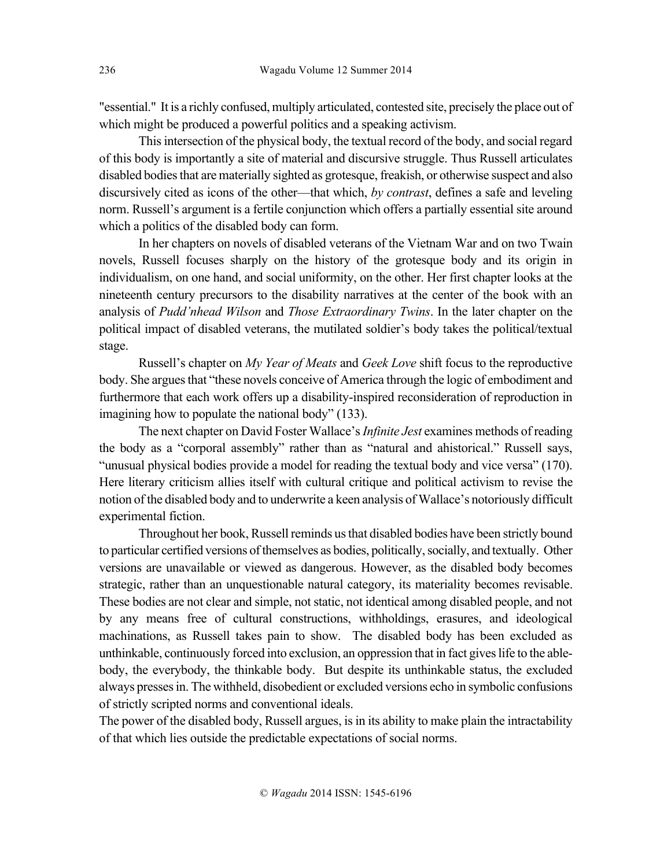"essential." It is a richly confused, multiply articulated, contested site, precisely the place out of which might be produced a powerful politics and a speaking activism.

This intersection of the physical body, the textual record of the body, and social regard of this body is importantly a site of material and discursive struggle. Thus Russell articulates disabled bodies that are materially sighted as grotesque, freakish, or otherwise suspect and also discursively cited as icons of the other—that which, *by contrast*, defines a safe and leveling norm. Russell's argument is a fertile conjunction which offers a partially essential site around which a politics of the disabled body can form.

In her chapters on novels of disabled veterans of the Vietnam War and on two Twain novels, Russell focuses sharply on the history of the grotesque body and its origin in individualism, on one hand, and social uniformity, on the other. Her first chapter looks at the nineteenth century precursors to the disability narratives at the center of the book with an analysis of *Pudd'nhead Wilson* and *Those Extraordinary Twins*. In the later chapter on the political impact of disabled veterans, the mutilated soldier's body takes the political/textual stage.

Russell's chapter on *My Year of Meats* and *Geek Love* shift focus to the reproductive body. She argues that "these novels conceive of America through the logic of embodiment and furthermore that each work offers up a disability-inspired reconsideration of reproduction in imagining how to populate the national body" (133).

The next chapter on David Foster Wallace's *Infinite Jest* examines methods of reading the body as a "corporal assembly" rather than as "natural and ahistorical." Russell says, "unusual physical bodies provide a model for reading the textual body and vice versa" (170). Here literary criticism allies itself with cultural critique and political activism to revise the notion of the disabled body and to underwrite a keen analysis of Wallace's notoriously difficult experimental fiction.

Throughout her book, Russell reminds us that disabled bodies have been strictly bound to particular certified versions of themselves as bodies, politically, socially, and textually. Other versions are unavailable or viewed as dangerous. However, as the disabled body becomes strategic, rather than an unquestionable natural category, its materiality becomes revisable. These bodies are not clear and simple, not static, not identical among disabled people, and not by any means free of cultural constructions, withholdings, erasures, and ideological machinations, as Russell takes pain to show. The disabled body has been excluded as unthinkable, continuously forced into exclusion, an oppression that in fact gives life to the ablebody, the everybody, the thinkable body. But despite its unthinkable status, the excluded always presses in. The withheld, disobedient or excluded versions echo in symbolic confusions of strictly scripted norms and conventional ideals.

The power of the disabled body, Russell argues, is in its ability to make plain the intractability of that which lies outside the predictable expectations of social norms.